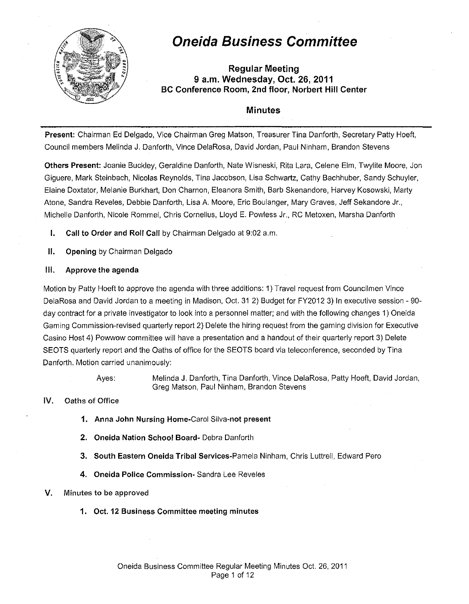

# **Oneida Business Committee**

**Regular Meeting 9 a.m. Wednesday, Oct. 26, 2011 BC Conference Room, 2nd floor, Norbert Hill Center** 

# **Minutes**

**Present:** Chairman Ed Delgado, Vice Chairman Greg Matson, Treasurer Tina Danforth, Secretary Patty Hoeft, Council members Melinda J. Danforth, Vince DelaRosa, David Jordan, Paul Ninham, Brandon Stevens

**Others Present:** Jeanie Buckley, Geraldine Danforth, Nate Wisneski, Rita Lara, Celene Elm, Twylite Moore, Jon Giguere, Mark Steinbach, Nicolas Reynolds, Tina Jacobson, Lisa Schwartz, Cathy Bachhuber, Sandy Schuyler, Elaine Doxtater, Melanie Burkhart, Don Charnon, Eleanora Smith, Barb Skenandore, Harvey Kosowski, Marty Atone, Sandra Reveles, Debbie Danforth, Lisa A. Moore, Eric Boulanger, Mary Graves, Jeff Sekandore Jr., Michelle Danforth, Nicole Rommel, Chris Cornelius, Lloyd E. Powless Jr., RC Metoxen, Marsha Danforth

- **I.** Call to Order and Roll Call by Chairman Delgado at 9:02 a.m.
- **II. Opening** by Chairman Delgado

# **Ill. Approve the agenda**

Motion by Patty Hoeft to approve the agenda with three additions: 1) Travel request from Councilmen Vince DelaRosa and David Jordan to a meeting in Madison, Oct. 31 2) Budget for FY2012 3) In executive session- 90 day contract for a private investigator to look into a personnel matter; and with the following changes 1) Oneida Gaming Commission-revised quarterly report 2) Delete the hiring request from the gaming division for Executive Casino Host 4) Powwow committee will have a presentation and a handout of their quarterly report 3) Delete SEOTS quarterly report and the Oaths of office for the SEOTS board via teleconference, seconded by Tina Danforth. Motion carried unanimously:

Ayes: Melinda J. Danforth, Tina Danforth, Vince DelaRosa, Patty Hoeft, David Jordan, Greg Matson, Paul Ninham, Brandon Stevens

### **IV.** Oaths of Office

- **1. Anna John Nursing** Home-Carol Silva-not **present**
- **2. Oneida Nation School Board-** Debra Danforth
- **3. South Eastern Oneida Tribal** Services-Pamela Ninham, Chris Luttrell, Edward Perc
- **4. Oneida Police Commission·** Sandra Lee Reveles

# **V.** Minutes **to** be approved

**1. Oct. 12 Business Committee meeting minutes**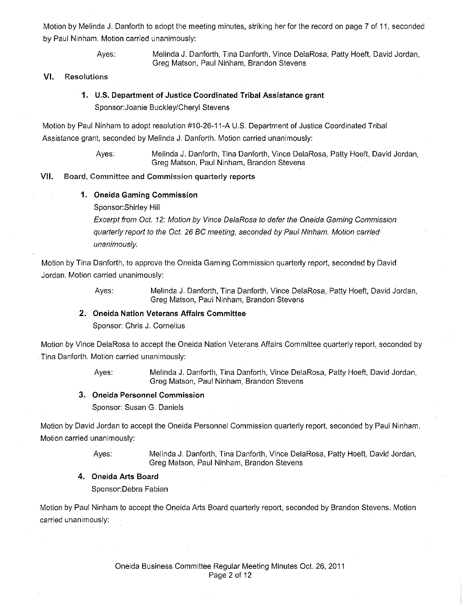Motion by Melinda **J.** Danforth to adopt the meeting minutes, striking her for the record on page 7 of 11, seconded by Paul Ninham. Motion carried unanimously:

> Ayes: Melinda J. Danforth, Tina Danforth, Vince DelaRosa, Patty Hoeft, David Jordan, Greg Matson, Paul Ninham, Brandon Stevens

#### **VI.** Resolutions

# **1. U.S. Department of Justice Coordinated Tribal Assistance grant**  Sponsor:Joanie Buckley/Cheryl Stevens

Motion by Paul Ninham to adopt resolution #10-26-11-A U.S. Department of Justice Coordinated Tribal Assistance grant, seconded by Melinda **J.** Danforth. Motion carried unanimously:

> Ayes: Melinda J. Danforth, Tina Danforth, Vince DelaRosa, Patty Hoeft, David Jordan, Greg Matson, Paul Ninham, Brandon Stevens

### **VII.** Board, Committee and Commission quarterly **reports**

#### **1. Oneida Gaming Commission**

Sponsor: Shirley Hill

Excerpt from Oct. 12: Motion by Vince DelaRosa to defer the Oneida Gaming Commission quarterly report to the Oct. 26 BC meeting, seconded by Paul Ninham. Motion carried unanimously.

Motion by Tina Danforth, to approve the Oneida Gaming Commission quarterly report, seconded by David Jordan. Motion carried unanimously:

Ayes: Melinda J. Danforth, Tina Danforth, Vince DelaRosa, Patty Hoeft, David Jordan, Greg Matson, Paul Ninham, Brandon Stevens

### **2. Oneida Nation Veterans Affairs Committee**

Sponsor: Chris J. Cornelius

Motion by Vince DelaRosa to accept the Oneida Nation Veterans Affairs Committee quarterly report, seconded by Tina Danforth. Motion carried unanimously:

> Ayes: Melinda **J.** Danforth, Tina Danforth, Vince DelaRosa, Patty Hoeft, David Jordan, Greg Matson, Paul Ninham, Brandon Stevens

#### **3. Oneida Personnel Commission**

Sponsor: Susan G. Daniels

Motion by David Jordan to accept the Oneida Personnel Commission quarterly report, seconded by Paul Ninham. Motion carried unanimously:

> Ayes: Melinda **J.** Danforth, Tina Danforth, Vince DelaRosa, Patty Hoeft, David Jordan, Greg Matson, Paul Ninham, Brandon Stevens

### **4. Oneida Arts Board**

Sponsor:Debra Fabian

Motion by Paul Ninham to accept the Oneida Arts Board quarterly report, seconded by Brandon Stevens. Motion carried unanimously: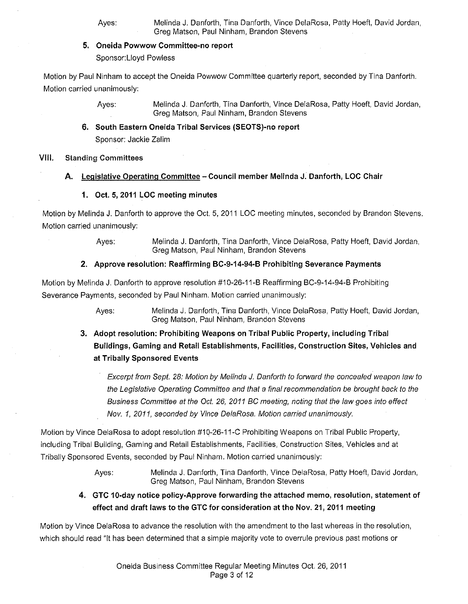- Ayes: Melinda J. Danforth, Tina Danforth, Vince DelaRosa, Patty Hoeft, David Jordan, Greg Matson, Paul Ninham, Brandon Stevens
- **5. Oneida Powwow Committee-no report**

Sponsor: Lloyd Powless

Motion by Paul Ninham to accept the Oneida Powwow Committee quarterly report, seconded by Tina Danforth. Motion carried unanimously:

> Ayes: Melinda **J.** Danforth, Tina Danforth, Vince DelaRosa, Patty Hoeft, David Jordan, Greg Matson, Paul Ninham, Brandon Stevens

# **6. South Eastern Oneida Tribal Services (SEOTS)-no report**

Sponsor: Jackie Zalim

# **VIII.** Standing Committees

# **A. Legislative Operating Committee- Council member Melinda J. Danforth, LOC Chair**

# **1, Oct. 5, 2011 LOC meeting minutes**

Motion by Melinda **J.** Danforth to approve the Oct. 5, 2011 LOG meeting minutes, seconded by Brandon Stevens. Motion carried unanimously:

> Ayes: Melinda J. Danforth, Tina Danforth, Vince DelaRosa, Patty Hoeft, David Jordan, Greg Matson, Paul Ninham, Brandon Stevens

# **2. Approve resolution: Reaffirming BC-9-14-94-B Prohibiting Severance Payments**

Motion by Melinda **J.** Danforth to approve resolution #1 0-26-11-B Reaffirming BC-9-14-94-B Prohibiting Severance Payments, seconded by Paul Ninham. Motion carried unanimously:

> Ayes: Melinda J. Danforth, Tina Danforth, Vince DelaRosa, Patty Hoeft, David Jordan, Greg Matson, Paul Ninham, Brandon Stevens

**3. Adopt resolution: Prohibiting Weapons on Tribal Public Property, including Tribal Buildings, Gaming and Retail Establishments, Facilities, Construction Sites, Vehicles and at Tribally Sponsored Events** 

Excerpt from Sept. 28: Motion by Melinda J. Danforth to forward the concealed weapon law to the Legislative Operating Committee and that a final recommendation be brought back to the Business Committee at the Oct. 26, 2011 BC meeting, noting that the law goes into effect Nov. 1, 2011, seconded by Vince DelaRosa. Motion carried unanimously.

Motion by Vince DelaRosa to adopt resolution #10-26-11-C Prohibiting Weapons on Tribal Public Property, including Tribal Building, Gaming and Retail Establishments, Facilities, Construction Sites, Vehicles and at Tribally Sponsored Events, seconded by Paul Ninham. Motion carried unanimously:

> Ayes: Melinda J. Danforth, Tina Danforth, Vince DelaRosa, Patty Hoeft, David Jordan, Greg Matson, Paul Ninham, Brandon Stevens

**4. GTC 1 0-day notice policy-Approve forwarding the attached memo, resolution, statement of effect and draft laws to the GTC for consideration at the Nov. 21, 2011 meeting** 

Motion by Vince DelaRosa to advance the resolution with the amendment to the last whereas in the resolution, which should read "It has been determined that a simple majority vote to overrule previous past motions or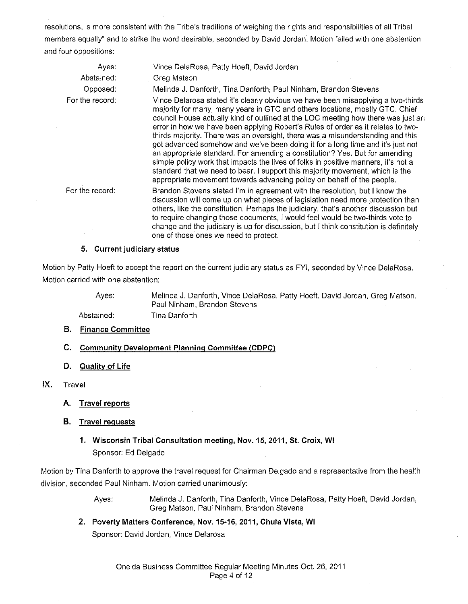resolutions, is more consistent with the Tribe's traditions of weighing the rights and responsibilities of all Tribal members equally" and to strike the word desirable, seconded by David Jordan. Motion failed with one abstention and four oppositions:

| Vince DelaRosa, Patty Hoeft, David Jordan                                                                                                                                                                                                                                                                                                                                                                                                                                                                                                                                                                                                                                                                                                                                                                                                    |
|----------------------------------------------------------------------------------------------------------------------------------------------------------------------------------------------------------------------------------------------------------------------------------------------------------------------------------------------------------------------------------------------------------------------------------------------------------------------------------------------------------------------------------------------------------------------------------------------------------------------------------------------------------------------------------------------------------------------------------------------------------------------------------------------------------------------------------------------|
| Greg Matson                                                                                                                                                                                                                                                                                                                                                                                                                                                                                                                                                                                                                                                                                                                                                                                                                                  |
| Melinda J. Danforth, Tina Danforth, Paul Ninham, Brandon Stevens                                                                                                                                                                                                                                                                                                                                                                                                                                                                                                                                                                                                                                                                                                                                                                             |
| Vince Delarosa stated it's clearly obvious we have been misapplying a two-thirds<br>majority for many, many years in GTC and others locations, mostly GTC. Chief<br>council House actually kind of outlined at the LOC meeting how there was just an<br>error in how we have been applying Robert's Rules of order as it relates to two-<br>thirds majority. There was an oversight, there was a misunderstanding and this<br>got advanced somehow and we've been doing it for a long time and it's just not<br>an appropriate standard. For amending a constitution? Yes. But for amending<br>simple policy work that impacts the lives of folks in positive manners, it's not a<br>standard that we need to bear. I support this majority movement, which is the<br>appropriate movement towards advancing policy on behalf of the people. |
| Brandon Stevens stated I'm in agreement with the resolution, but I know the<br>discussion will come up on what pieces of legislation need more protection than<br>others, like the constitution. Perhaps the judiciary, that's another discussion but<br>to require changing those documents, I would feel would be two-thirds vote to<br>change and the judiciary is up for discussion, but I think constitution is definitely<br>one of those ones we need to protect.                                                                                                                                                                                                                                                                                                                                                                     |
| Accountable to alternative contract                                                                                                                                                                                                                                                                                                                                                                                                                                                                                                                                                                                                                                                                                                                                                                                                          |

### **5. Current judiciary status**

Motion by Patty Hoeft to accept the report on the current judiciary status as FYI, seconded by Vince DelaRosa. Motion carried with one abstention:

Ayes:

Melinda J. Danforth, Vince DelaRosa, Patty Hoeft, David Jordan, Greg Matson, Paul Ninham, Brandon Stevens

Abstained: Tina Danforth

- **B. Finance Committee**
- **C. Community Development Planning Committee CCDPC)**
- **D. Quality of Life**
- IX. Travel
	- **A. Travel reports**
	- **B. Travel requests** 
		- **1. Wisconsin Tribal Consultation meeting, Nov. 15, 2011, St. Croix, WI**  Sponsor: Ed Delgado

Motion by Tina Danforth to approve the travel request for Chairman Delgado and a representative from the health division, seconded Paul Ninham. Motion carried unanimously:

> Ayes: Melinda J. Danforth, Tina Danforth, Vince DelaRosa, Patty Hoeft, David Jordan, Greg Matson, Paul Ninham, Brandon Stevens

**2. Poverty Matters Conference, Nov. 15-16, 2011, Chula Vista, WI**  Sponsor: David Jordan, Vince Delarosa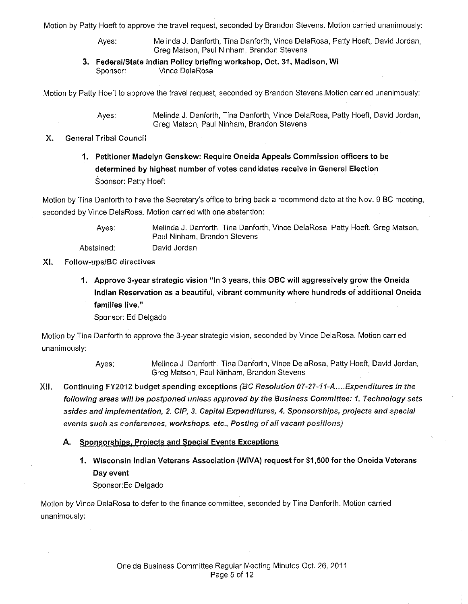Motion by Patty Hoeft to approve the travel request, seconded by Brandon Stevens. Motion carried unanimously:

Ayes: Melinda J. Danforth, Tina Danforth, Vince DelaRosa, Patty Hoeft, David Jordan, Greg Matson, Paul Ninham, Brandon Stevens

3. Federal/State Indian Policy briefing workshop, Oct. 31, Madison, Wi Sponsor: Vince DelaRosa

Motion by Patty Hoeft to approve the travel request, seconded by Brandon Stevens.Motion carried unanimously:

Ayes: Melinda J. Danforth, Tina Danforth, Vince DelaRosa, Patty Hoeft, David Jordan, Greg Matson, Paul Ninham, Brandon Stevens

### X. General Tribal Council

1. Petitioner Madelyn Genskow: Require Oneida Appeals Commission officers to be determined by highest number of votes candidates receive in General Election Sponsor: Patty Hoeft

Motion by Tina Danforth to have the Secretary's office to bring back a recommend date at the Nov. 9 BC meeting, seconded by Vince DelaRosa. Motion carried with one abstention:

Ayes: Abstained: Melinda J. Danforth, Tina Danforth, Vince DelaRosa, Patty Hoeft, Greg Matson, Paul Ninham, Brandon Stevens David Jordan

### XI. Follow-ups/BC directives

- 1. Approve 3-year strategic vision "In 3 years, this OBC will aggressively grow the Oneida Indian Reservation as a beautiful, vibrant community where hundreds of additional Oneida families live."
	- Sponsor: Ed Delgado

Motion by Tina Danforth to approve the 3-year strategic vision, seconded by Vince DelaRosa. Motion carried unanimously:

- Ayes: Melinda J. Danforth, Tina Danforth, Vince DelaRosa, Patty Hoeft, David Jordan, Greg Matson, Paul Ninham, Brandon Stevens
- XII. Continuing FY2012 budget spending exceptions (BC Resolution 07-27-11-A .... Expenditures in the following areas will be postponed unless approved by the Business Committee: 1. Technology sets asides and implementation, 2. CIP, 3. Capital Expenditures, 4. Sponsorships, projects and special events such as conferences, workshops, etc., Posting of all vacant positions)
	- A. Sponsorships, Projects and Special Events Exceptions
		- 1. Wisconsin Indian Veterans Association (WIVA) request for \$1,500 for the Oneida Veterans Day event Sponsor:Ed Delgado

Motion by Vince DelaRosa to defer to the finance committee, seconded by Tina Danforth. Motion carried unanimously: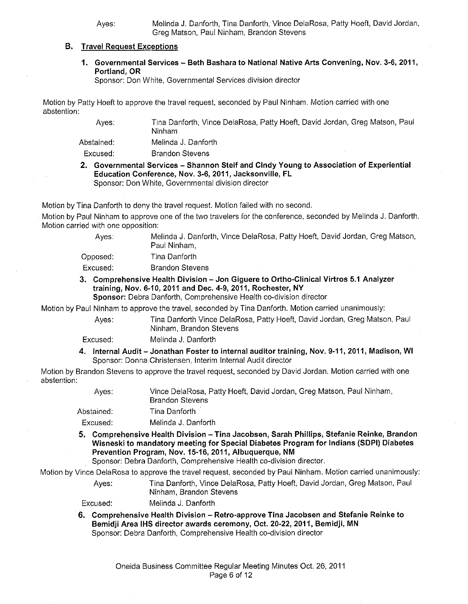### **B. Travel Request Exceptions**

**1. Governmental Services- Beth Bashara to National Native Arts Convening, Nov.** 3-6, **2011, Portland, OR** 

Sponsor: Don White, Governmental Services division director

Motion by Patty Hoeft to approve the travel request, seconded by Paul Ninham. Motion carried with one abstention:

> Ayes: Tina Danforth, Vince DelaRosa, Patty Hoeft, David Jordan, Greg Matson, Paul Ninham

Abstained: Melinda J. Danforth

Excused: Brandon Stevens

**2. Governmental Services- Shannon Steif and Cindy Young to Association of Experiential Education Conference, Nov.** 3-6, **2011, Jacksonville, FL**  Sponsor: Don White, Governmental division director

Motion by Tina Danforth to deny the travel request. Motion failed with no second.

Motion by Paul Ninham to approve one of the two travelers for the conference, seconded by Melinda J. Danforth. Motion carried with one opposition:

| Aves:      | Melinda J. Danforth, Vince DelaRosa, Patty Hoeft, David Jordan, Greg Matson,<br>Paul Ninham. |
|------------|----------------------------------------------------------------------------------------------|
| Opposed: . | Tina Danforth.                                                                               |
| Excused:   | <b>Brandon Stevens</b>                                                                       |

**3. Comprehensive Health Division- Jon Giguere to Ortho-Ciinical Virtros 5.1 Analyzer training, Nov. 6-10,2011 and Dec. 4-9,2011, Rochester, NY Sponsor:** Debra Danforth, Comprehensive Health co-division director

Motion by Paul Ninham to approve the travel, seconded by Tina Danforth. Motion carried unanimously:

Ninham, Brandon Stevens

Ayes: Tina Danforth Vince DelaRosa, Patty Hoeft, David Jordan, Greg Matson, Paul

Excused: Melinda J. Danforth

**4. Internal Audit- Jonathan Foster to internal auditor training, Nov. 9-11, 2011, Madison, WI**  Sponsor: Donna Christensen, Interim Internal Audit director

Motion by Brandon Stevens to approve the travel request, seconded by David Jordan. Motion carried with one abstention:

| Aves:      | Vince DelaRosa, Patty Hoeft, David Jordan, Greg Matson, Paul Ninham,<br><b>Brandon Stevens</b> |
|------------|------------------------------------------------------------------------------------------------|
| Abstained: | Tina Danforth                                                                                  |
| Excused:   | Melinda J. Danforth                                                                            |

**5. Comprehensive Health Division -Tina Jacobsen, Sarah Phillips, Stefanie Reinke, Brandon Wisneski to mandatory meeting for Special Diabetes Program for Indians (SDPI) Diabetes Prevention Program, Nov. 15-16,2011, Albuquerque, NM** 

Sponsor: Debra Danforth, Comprehensive Health co-division director.

Motion by Vince DelaRosa to approve the travel request, seconded by Paul Ninham. Motion carried unanimously:

Ayes: Tina Danforth, Vince DelaRosa, Patty Hoeft, David Jordan, Greg Matson, Paul Ninham, Brandon Stevens

Excused: Melinda J. Danforth

**6. Comprehensive Health Division - Retro-approve Tina Jacobsen and Stefanie Reinke to Bemidji Area IHS director awards ceremony, Oct. 20-22, 2011, Bemidji, MN**  Sponsor: Debra Danforth, Comprehensive Health co-division director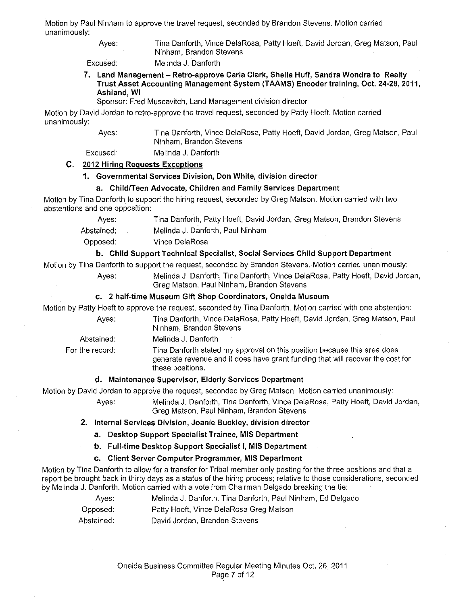Motion by Paul Ninham to approve the travel request, seconded by Brandon Stevens. Motion carried unanimously:

> Ayes: Tina Danforth, Vince DelaRosa, Patty Hoeft, David Jordan, Greg Matson, Paul Ninham, Brandon Stevens

Excused: Melinda J. Danforth

### **7. Land Management- Retro-approve Carla Clark, Sheila Huff, Sandra Wondra to Realty Trust Asset Accounting Management System (T AAMS) Encoder training, Oct. 24-28, 2011, Ashland, WI**

Sponsor: Fred Muscavitch, Land Management division director

Motion by David Jordan to retro-approve the travel request, seconded by Patty Hoeft. Motion carried unanimously:

Ayes:

Tina Danforth, Vince DelaRosa, Patty Hoeft, David Jordan, Greg Matson, Paul Ninham, Brandon Stevens

Excused:

Melinda J. Danforth

### **C. 2012 Hiring Requests Exceptions**

### **1. Governmental Services Division, Don White, division director**

# **a. Child/Teen Advocate, Children and Family Services Department**

Motion by Tina Danforth to support the hiring request, seconded by Greg Matson. Motion carried with two abstentions and one opposition:

Ayes: Tina Danforth, Patty Hoeft, David Jordan, Greg Matson, Brandon Stevens

Abstained: Melinda J. Danforth, Paul Ninham

Opposed: Vince DelaRosa

### **b. Child Support Technical Specialist, Social Services Child Support Department**

Motion by Tina Danforth to support the request, seconded by Brandon Stevens. Motion carried unanimously:

Ayes: Melinda J. Danforth, Tina Danforth, Vince DelaRosa, Patty Hoeft, David Jordan, Greg Matson, Paul Ninham, Brandon Stevens

### **c. 2 half-time Museum Gift Shop Coordinators, Oneida Museum**

Motion by Patty Hoeft to approve the request, seconded by Tina Danforth. Motion carried with one abstention:

- 
- Ayes: Tina Danforth, Vince DelaRosa, Patty Hoeft, David Jordan, Greg Matson, Paul Ninham, Brandon Stevens

Abstained: Melinda J. Danforth

For the record: Tina Danforth stated my approval on this position because this area does generate revenue and it does have grant funding that will recover the cost for these positions.

### **d. Maintenance Supervisor, Elderly Services Department**

Motion by David Jordan to approve the request, seconded by Greg Matson. Motion carried unanimously:

Ayes: Melinda J. Danforth, Tina Danforth, Vince DelaRosa, Patty Hoeft, David Jordan, Greg Matson, Paul Ninham, Brandon Stevens

### **2. Internal Services Division, Joanie Buckley, division director**

**a. Desktop Support Specialist Trainee, MIS Department** 

**b. Full-time Desktop Support Specialist I, MIS Department** 

### **c. Client Server Computer Programmer, MIS Department**

Motion by Tina Danforth to allow for a transfer for Tribal member only posting for the three positions and that a report be brought back in thirty days as a status of the hiring process; relative to those considerations, seconded by Melinda J. Danforth. Motion carried with a vote from Chairman Delgado breaking the tie:

| Ayes: | Melinda J. Danforth, Tina Danforth, Paul Ninham, Ed Delgado |  |
|-------|-------------------------------------------------------------|--|
|-------|-------------------------------------------------------------|--|

Opposed: Patty Hoeft, Vince DelaRosa Greg Matson

Abstained: David Jordan, Brandon Stevens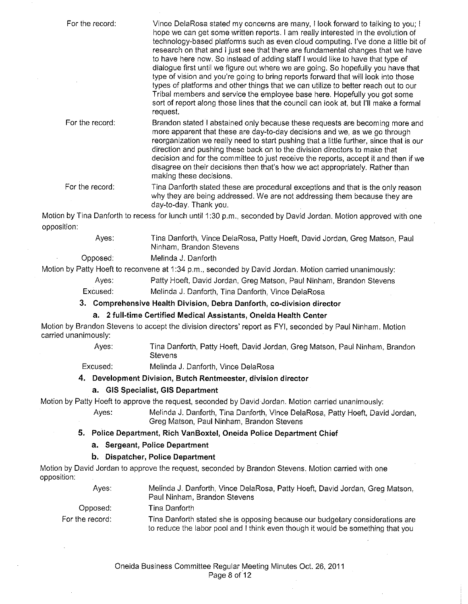| For the record: | Vince DelaRosa stated my concerns are many, I look forward to talking to you; I<br>hope we can get some written reports. I am really interested in the evolution of<br>technology-based platforms such as even cloud computing. I've done a little bit of<br>research on that and I just see that there are fundamental changes that we have<br>to have here now. So instead of adding staff I would like to have that type of<br>dialogue first until we figure out where we are going. So hopefully you have that<br>type of vision and you're going to bring reports forward that will look into those<br>types of platforms and other things that we can utilize to better reach out to our<br>Tribal members and service the employee base here. Hopefully you got some<br>sort of report along those lines that the council can look at, but I'll make a formal<br>request. |
|-----------------|-----------------------------------------------------------------------------------------------------------------------------------------------------------------------------------------------------------------------------------------------------------------------------------------------------------------------------------------------------------------------------------------------------------------------------------------------------------------------------------------------------------------------------------------------------------------------------------------------------------------------------------------------------------------------------------------------------------------------------------------------------------------------------------------------------------------------------------------------------------------------------------|
| For the record: | Brandon stated I abstained only because these requests are becoming more and<br>more apparent that these are day-to-day decisions and we, as we go through<br>reorganization we really need to start pushing that a little further, since that is our<br>direction and pushing these back on to the division directors to make that<br>decision and for the committee to just receive the reports, accept it and then if we<br>disagree on their decisions then that's how we act appropriately. Rather than<br>making these decisions.                                                                                                                                                                                                                                                                                                                                           |
| For the record: | Tina Danforth stated these are procedural exceptions and that is the only reason<br>why they are being addressed. We are not addressing them because they are<br>day-to-day. Thank you.                                                                                                                                                                                                                                                                                                                                                                                                                                                                                                                                                                                                                                                                                           |
|                 | Motion by Tina Danforth to recess for lunch until 1:30 p.m., seconded by David Jordan. Motion approved with one                                                                                                                                                                                                                                                                                                                                                                                                                                                                                                                                                                                                                                                                                                                                                                   |
| opposition:     |                                                                                                                                                                                                                                                                                                                                                                                                                                                                                                                                                                                                                                                                                                                                                                                                                                                                                   |
| Ayes:           | Tina Danforth, Vince DelaRosa, Patty Hoeft, David Jordan, Greg Matson, Paul<br>Ninham, Brandon Stevens                                                                                                                                                                                                                                                                                                                                                                                                                                                                                                                                                                                                                                                                                                                                                                            |
| Opposed:        | Melinda J. Danforth                                                                                                                                                                                                                                                                                                                                                                                                                                                                                                                                                                                                                                                                                                                                                                                                                                                               |
|                 | Motion by Patty Hoeft to reconvene at 1:34 p.m., seconded by David Jordan. Motion carried unanimously:                                                                                                                                                                                                                                                                                                                                                                                                                                                                                                                                                                                                                                                                                                                                                                            |
| Ayes:           | Patty Hoeft, David Jordan, Greg Matson, Paul Ninham, Brandon Stevens                                                                                                                                                                                                                                                                                                                                                                                                                                                                                                                                                                                                                                                                                                                                                                                                              |
| Excused:        | Melinda J. Danforth, Tina Danforth, Vince DelaRosa                                                                                                                                                                                                                                                                                                                                                                                                                                                                                                                                                                                                                                                                                                                                                                                                                                |
|                 | 3. Comprehensive Health Division, Debra Danforth, co-division director                                                                                                                                                                                                                                                                                                                                                                                                                                                                                                                                                                                                                                                                                                                                                                                                            |
|                 | a. 2 full-time Certified Medical Assistants, Oneida Health Center                                                                                                                                                                                                                                                                                                                                                                                                                                                                                                                                                                                                                                                                                                                                                                                                                 |
|                 | Motion by Brandon Stevens to accept the division directors' report as FYI, seconded by Paul Ninham. Motion                                                                                                                                                                                                                                                                                                                                                                                                                                                                                                                                                                                                                                                                                                                                                                        |

carried unanimously:

Ayes: Tina Danforth, Patty Hoeft, David Jordan, Greg Matson, Paul Ninham, Brandon Stevens

Excused: Melinda J. Danforth, Vince DelaRosa

# **4. Development Division, Butch Rentmeester, division director**

### **a. GIS Specialist, GIS Department**

Motion by Patty Hoeft to approve the request, seconded by David Jordan. Motion carried unanimously:

Ayes: Melinda J. Danforth, Tina Danforth, Vince DelaRosa, Patty Hoeft, David Jordan, Greg Matson, Paul Ninham, Brandon Stevens

### **5. Police Department, Rich VanBoxtel, Oneida Police Department Chief**

### **a. Sergeant, Police Department**

### **b. Dispatcher, Police Department**

Motion by David Jordan to approve the request, seconded by Brandon Stevens. Motion carried with one opposition:

| Aves:             | Melinda J. Danforth, Vince DelaRosa, Patty Hoeft, David Jordan, Greg Matson,<br>Paul Ninham, Brandon Stevens                                                     |
|-------------------|------------------------------------------------------------------------------------------------------------------------------------------------------------------|
| Opposed:          | Tina Danforth                                                                                                                                                    |
| For the record: . | Tina Danforth stated she is opposing because our budgetary considerations are<br>to reduce the labor pool and I think even though it would be something that you |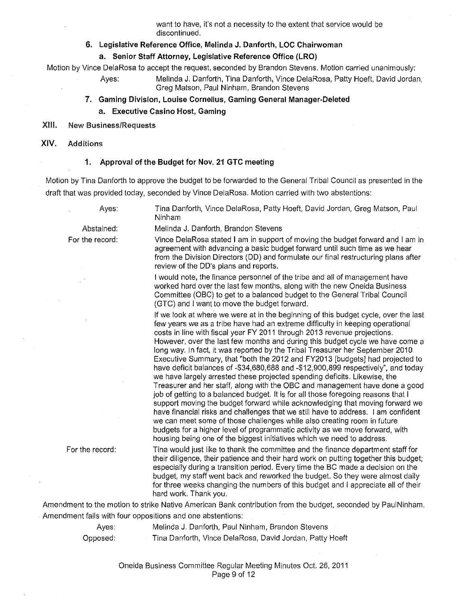want to have, it's not a necessity to the extent that service would be discontinued.

### **6. Legislative Reference Office, Melinda J. Danforth, LOC Chairwoman**

### **a. Senior Staff Attorney, Legislative Reference Office (LRO)**

Motion by Vince DelaRosa to accept the request, seconded by Brandon Stevens. Motion carried unanimously:

Ayes: Melinda J. Danforth, Tina Danforth, Vince DelaRosa, Patty Hoeft, David Jordan, Greg Matson, Paul Ninham, Brandon Stevens

- **7. Gaming Division, Louise Cornelius, Gaming General Manager-Deleted a. Executive Casino Host, Gaming**
- XIII. New Business/Requests
- **XIV.** Additions

#### **1. Approval of the Budget for Nov. 21 GTC meeting**

Motion by Tina Danforth to approve the budget to be forwarded to the General Tribal Council as presented in the draft that was provided today, seconded by Vince DelaRosa. Motion carried with two abstentions:

Ayes:

Abstained: For the record:

Tina Danforth, Vince DelaRosa, Patty Hoeft, David Jordan, Greg Matson, Paul Ninham

Melinda J. Danforth, Brandon Stevens

Vince DelaRosa stated I am in support of moving the budget forward and I am in agreement with advancing a basic budget forward until such time as we hear from the Division Directors (DD) and formulate our final restructuring plans after review of the DD's plans and reports.

I would note, the finance personnel of the tribe and all of management have worked hard over the last few months, along with the new Oneida Business Committee (OBC) to get to a balanced budget to the General Tribal Council (GTC) and I want to move the budget forward.

If we look at where we were at in the beginning of this budget cycle, over the last few years we as a tribe have had an extreme difficulty in keeping operational costs in line with fiscal year FY 2011 through 2013 revenue projections. However, over the last few months and during this budget cycle we have come a long way. In fact, it was reported by the Tribal Treasurer her September 2010 Executive Summary, that "both the 2012 and FY2013 [budgets] had projected to have deficit balances of -\$34,680,688 and -\$12,900,899 respectively", and today we have largely arrested these projected spending deficits. Likewise, the Treasurer and her staff, along with the OBC and management have done a good job of getting to a balanced budget. It is for all those foregoing reasons that I support moving the budget forward while acknowledging that moving forward we have financial risks and challenges that we still have to address. I am confident we can meet some of those challenges while also creating room in future budgets for a higher level of programmatic activity as we move forward, with housing being one of the biggest initiatives which we need to address.

For the record:

Tina would just like to thank the committee and the finance department staff for their diligence, their patience and their hard work on putting together this budget; especially during a transition period. Every time the BC made a decision on the budget, my staff went back and reworked the budget. So they were almost daily for three weeks changing the numbers of this budget and I appreciate all of their hard work. Thank you.

Amendment to the motion to strike Native American Bank contribution from the budget, seconded by PauiNinham. Amendment fails with four oppositions and one abstentions:

> Ayes: Melinda J. Danforth, Paul Ninham, Brandon Stevens Opposed: Tina Danforth, Vince DelaRosa, David Jordan, Patty Hoeft

> > Oneida Business Committee Regular Meeting Minutes Oct 26, 2011 Page 9 of 12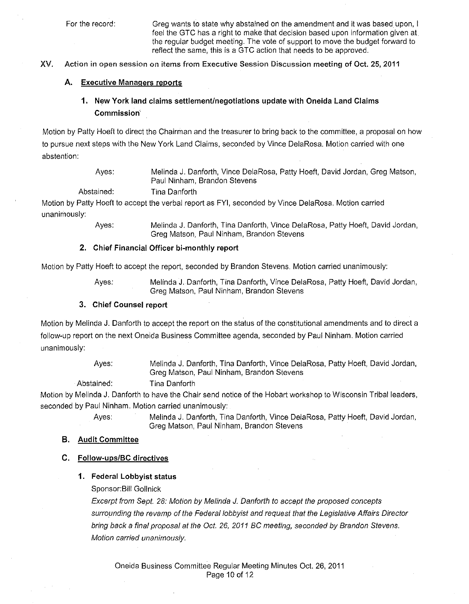For the record: Greg wants to state why abstained on the amendment and it was based upon, I feel the GTC has a right to make that decision based upon information given at the regular budget meeting. The *vote* of support to *move* the budget forward to reflect the same, this is a GTC action that needs to be approved.

XV. Action in open session on items from Executive Session Discussion meeting **of Oct.** 25, 2011

#### **A. Executive Managers reports**

# **1. New York land claims settlement/negotiations update with Oneida Land Claims Commission·**

Motion by Patty Hoeft to direct the Chairman and the treasurer to bring back to the committee, a proposal on how to pursue next steps with the New York Land Claims, seconded by Vince DelaRosa. Motion carried with one abstention:

| Ayes: | Melinda J. Danforth, Vince DelaRosa, Patty Hoeft, David Jordan, Greg Matson, |
|-------|------------------------------------------------------------------------------|
|       | Paul Ninham, Brandon Stevens                                                 |

Abstained: Tina Danforth

Motion by Patty Hoeft to accept the verbal report as FYI, seconded by Vince DelaRosa. Motion carried unanimously:

> Ayes: Melinda J. Danforth, Tina Danforth, Vince DelaRosa, Patty Hoeft, David Jordan, Greg Matson, Paul Ninham, Brandon Stevens

#### **2. Chief Financial Officer bi-monthly report**

Motion by Patty Hoeft to accept the report, seconded by Brandon Stevens. Motion carried unanimously:

Ayes: Melinda J. Danforth, Tina Danforth, Vince DelaRosa, Patty Hoeft, David Jordan, Greg Matson, Paul Ninham, Brandon Stevens

#### **3. Chief Counsel report**

Motion by Melinda J. Danforth to accept the report on the status of the constitutional amendments and to direct a follow-up report on the next Oneida Business Committee agenda, seconded by Paul Ninham. Motion carried unanimously:

> Ayes: Melinda J. Danforth, Tina Danforth, Vince DelaRosa, Patty Hoeft, David Jordan, Greg Matson, Paul Ninham, Brandon Stevens

Abstained:

Tina Danforth

Motion by Melinda J. Danforth to have the Chair send notice of the Hobart workshop to Wisconsin Tribal leaders, seconded by Paul Ninham. Motion carried unanimously:

Ayes: Melinda J. Danforth, Tina Danforth, Vince DelaRosa, Patty Hoeft, David Jordan, Greg Matson, Paul Ninham, Brandon Stevens

#### **B. Audit Committee**

### **C. Follow-ups/BC directives**

### **1. Federal Lobbyist status**

Sponsor:Bill Gollnick

Excerpt from Sept. 28: Motion by Melinda *J.* Danforth to accept the proposed concepts surrounding the revamp of the Federal lobbyist and request that the Legislative Affairs Director bring back a final proposal at the Oct. 26, 2011 BC meeting, seconded by Brandon Stevens. Motion carried unanimously.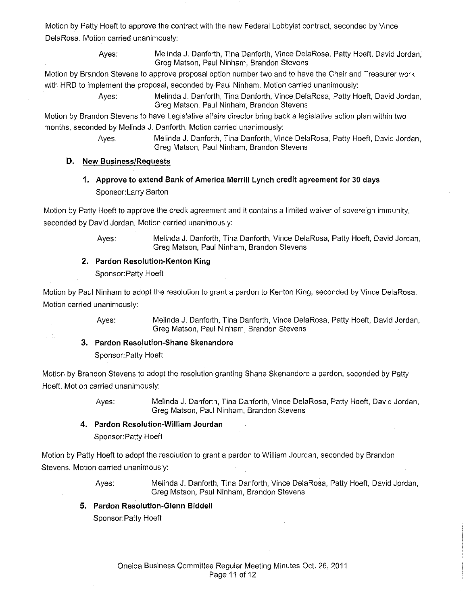Motion by Patty Hoeft to approve the contract with the new Federal Lobbyist contract, seconded by Vince DelaRosa. Motion carried unanimously:

> Ayes: Melinda J. Danforth, Tina Danforth, Vince DelaRosa, Patty Hoeft, David Jordan, Greg Matson, Paul Ninham, Brandon Stevens

Motion by Brandon Stevens to approve proposal option number two and to have the Chair and Treasurer work with HRD to implement the proposal, seconded by Paul Ninham. Motion carried unanimously:

> Ayes: Melinda J. Danforth, Tina Danforth, Vince DelaRosa, Patty Hoeft, David Jordan, Greg Matson, Paul Ninham, Brandon Stevens

Motion by Brandon Stevens to have Legislative affairs director bring back a legislative action plan within two months, seconded by Melinda J. Danforth. Motion carried unanimously:

> Ayes: Melinda J. Danforth, Tina Danforth, Vince DelaRosa, Patty Hoeft, David Jordan, Greg Matson, Paul Ninham, Brandon Stevens

### **D. New Business/Requests**

**1, Approve to extend Bank of America Merrill Lynch credit agreement for 30 days**  Sponsor: Larry Barton

Motion by Patty Hoeft to approve the credit agreement and it contains a limited waiver of sovereign immunity, seconded by David Jordan. Motion carried unanimously:

> Ayes: Melinda J. Danforth, Tina Danforth, Vince DelaRosa, Patty Hoeft, David Jordan, Greg Matson, Paul Ninham, Brandon Stevens

# **2, Pardon Resolution-Kenton King**

Sponsor: Patty Hoeft

Motion by Paul Ninham to adopt the resolution to grant a pardon to Kenton King, seconded by Vince DelaRosa. Motion carried unanimously:

> Ayes: Melinda J. Danforth, Tina Danforth, Vince DelaRosa, Patty Hoeft, David Jordan, Greg Matson, Paul Ninham, Brandon Stevens

# **3. Pardon Resolution-Shane Skenandore**

Sponsor: Patty Hoeft

Motion by Brandon Stevens to adopt the resolution granting Shane Skenandore a pardon, seconded by Patty Hoeft. Motion carried unanimously:

Ayes: Melinda J. Danforth, Tina Danforth, Vince DelaRosa, Patty Hoeft, David Jordan, Greg Matson, Paul Ninham, Brandon Stevens

# **4. Pardon Resolution-William Jourdan**

Sponsor: Patty Hoeft

Motion by Patty Hoeft to adopt the resolution to grant a pardon to William Jourdan, seconded by Brandon Stevens. Motion carried unanimously:

> Ayes: Melinda J. Danforth, Tina Danforth, Vince DelaRosa, Patty Hoeft, David Jordan, Greg Matson, Paul Ninham, Brandon Stevens

**5. Pardon Resolution-Glenn Biddell** 

Sponsor: Patty Hoeft